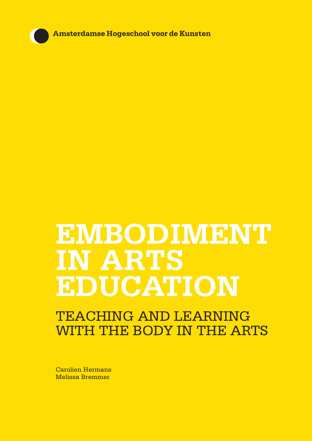Amsterdamse Hogeschool voor de Kunsten

# **EMBODIMENT IN ARTS EDUCATION**

# TEACHING AND LEARNING WITH THE BODY IN THE ARTS

Carolien Hermans Melissa Bremmer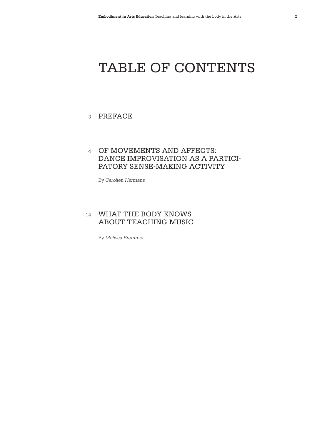# TABLE OF CONTENTS

## 3 PREFACE

# OF MOVEMENTS AND AFFECTS: 4 DANCE IMPROVISATION AS A PARTICI-PATORY SENSE-MAKING ACTIVITY

By *Carolien Hermans*

## 14 **WHAT THE BODY KNOWS** ABOUT TEACHING MUSIC

By *Melissa Bremmer*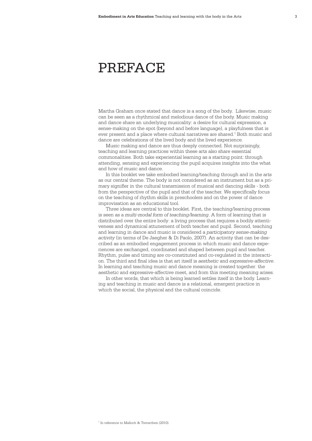# PREFACE

Martha Graham once stated that dance is a song of the body. Likewise, music can be seen as a rhythmical and melodious dance of the body. Music making and dance share an underlying musicality: a desire for cultural expression, a sense-making on the spot (beyond and before language), a playfulness that is ever present and a place where cultural narratives are shared.<sup>1</sup> Both music and dance are celebrations of the lived body and the lived experience.

Music making and dance are thus deeply connected. Not surprisingly, teaching and learning practices within these arts also share essential commonalities. Both take experiential learning as a starting point: through attending, sensing and experiencing the pupil acquires insights into the what and how of music and dance.

In this booklet we take embodied learning/teaching through and in the arts as our central theme. The body is not considered as an instrument but as a primary signifier in the cultural transmission of musical and dancing skills - both from the perspective of the pupil and that of the teacher. We specifically focus on the teaching of rhythm skills in preschoolers and on the power of dance improvisation as an educational tool.

Three ideas are central to this booklet. First, the teaching/learning process is seen as a *multi-modal form of teaching/learning*. A form of learning that is distributed over the entire body: a living process that requires a bodily attentiveness and dynamical attunement of both teacher and pupil. Second, teaching and learning in dance and music is considered a *participatory sense-making activity* (in terms of De Jaegher & Di Paolo, 2007). An activity that can be described as an embodied engagement process in which music and dance experiences are exchanged, coordinated and shaped between pupil and teacher. Rhythm, pulse and timing are co-constituted and co-regulated in the interaction. The third and final idea is that art itself is *aesthetic* and *expressive-affective*. In learning and teaching music and dance meaning is created together: the aesthetic and expressive-affective meet, and from this meeting meaning arises.

In other words, that which is being learned settles itself in the body. Learning and teaching in music and dance is a relational, emergent practice in which the social, the physical and the cultural coincide.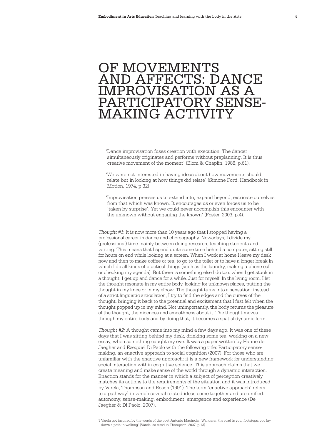# OF MOVEMENTS AND AFFECTS: DANCE IMPROVISATION AS A PARTICIPATORY SENSE-MAKING ACTIVITY

'Dance improvisation fuses creation with execution. The dancer simultaneously originates and performs without preplanning. It is thus creative movement of the moment' (Blom & Chaplin, 1988, p.61).

'We were not interested in having ideas about how movements should relate but in looking at how things did relate' (Simone Forti, Handbook in Motion, 1974, p.32).

'Improvisation presses us to extend into, expand beyond, extricate ourselves from that which was known. It encourages us or even forces us to be 'taken by surprise'. Yet we could never accomplish this encounter with the unknown without engaging the known' (Foster, 2003, p.4).

*Thought #1*: It is now more than 10 years ago that I stopped having a professional career in dance and choreography. Nowadays, I divide my (professional) time mainly between doing research, teaching students and writing. This means that I spend quite some time behind a computer, sitting still for hours on end while looking at a screen. When I work at home I leave my desk now and then to make coffee or tea, to go to the toilet or to have a longer break in which I do all kinds of practical things (such as the laundry, making a phone call or checking my agenda). But there is something else I do too: when I get stuck in a thought, I get up and dance for a while. Just for myself. In the living room. I let the thought resonate in my entire body, looking for unknown places, putting the thought in my knee or in my elbow. The thought turns into a sensation: instead of a strict linguistic articulation, I try to find the edges and the curves of the thought, bringing it back to the potential and excitement that I first felt when the thought popped up in my mind. Not unimportantly, the body returns the pleasure of the thought, the niceness and smoothness about it. The thought moves through my entire body and by doing that, it becomes a spatial dynamic form.

*Thought #2:* A thought came into my mind a few days ago. It was one of these days that I was sitting behind my desk, drinking some tea, working on a new essay, when something caught my eye. It was a paper written by Hanne de Jaegher and Ezequiel Di Paolo with the following title: Participatory sensemaking, an enactive approach to social cognition (2007). For those who are unfamiliar with the enactive approach: it is a new framework for understanding social interaction within cognitive science. This approach claims that we create meaning and make sense of the world through a dynamic interaction. Enaction stands for the manner in which a subject of perception creatively matches its actions to the requirements of the situation and it was introduced by Varela, Thompson and Rosch (1991). The term 'enactive approach' refers to a pathway<sup>1</sup> in which several related ideas come together and are unified: autonomy, sense-making, embodiment, emergence and experience (De Jaegher & Di Paolo, 2007).

1 Varela got inspired by the words of the poet Antonio Macheda: 'Wanderer, the road is your footsteps: you lay down a path in walking' (Varela, as cited in Thompson, 2007, p.13).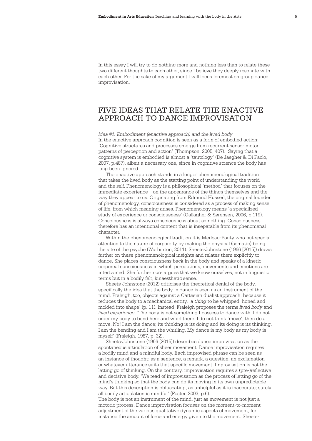In this essay I will try to do nothing more and nothing less than to relate these two different thoughts to each other, since I believe they deeply resonate with each other. For the sake of my argument I will focus foremost on group dance improvisation.

# FIVE IDEAS THAT RELATE THE ENACTIVE APPROACH TO DANCE IMPROVISATON

*Idea #1: Embodiment (enactive approach) and the lived body*  In the enactive approach cognition is seen as a form of embodied action: 'Cognitive structures and processes emerge from recurrent sensorimotor patterns of perception and action' (Thompson, 2005, 407). Saying that a cognitive system is embodied is almost a 'tautology' (De Jaegher & Di Paolo, 2007, p.487), albeit a necessary one, since in cognitive science the body has long been ignored.

The enactive approach stands in a longer phenomenological tradition that takes the lived body as the starting point of understanding the world and the self. Phenomenology is a philosophical 'method' that focuses on the immediate experience – on the appearance of the things themselves and the way they appear to us. Originating from Edmund Husserl, the original founder of phenomenology, consciousness is considered as a process of making sense of life, from which meaning arises. Phenomenology means 'a specialized study of experience or consciousness' (Gallagher & Sørensen, 2006, p.119). Consciousness is always consciousness about something. Consciousness therefore has an intentional content that is inseparable from its phenomenal character.

Within the phenomenological tradition it is Merleau-Ponty who put special attention to the nature of corporeity by making the physical (somatic) being the site of the psyche (Warburton, 2011). Sheets-Johnstone (1966 [2015]) draws further on these phenomenological insights and relates them explicitly to dance. She places consciousness back in the body and speaks of a kinetic, corporeal consciousness in which perceptions, movements and emotions are intertwined. She furthermore argues that we know ourselves, not in linguistic terms but in a bodily felt, kinaesthetic sense.

Sheets-Johnstone (2012) criticises the theoretical denial of the body, specifically the idea that the body in dance is seen as an instrument of the mind. Fraleigh, too, objects against a Cartesian dualist approach, because it reduces the body to a mechanical entity, 'a *thing* to be whipped, honed and molded into shape' (p. 11). Instead, Fraleigh proposes the terms *lived body* and *lived experience*. 'The body is not something I possess to dance with. I do not order my body to bend here and whirl there. I do not think 'move', then do a move. No! I am the dance; its thinking is its doing and its doing is its thinking. I am the bending and I am the whirling. My dance is my body as my body is myself' (Fraleigh, 1987, p. 32).

Sheets-Johnstone (1966 [2015]) describes dance improvisation as the spontaneous articulation of sheer movement. Dance improvisation requires a bodily mind and a mindful body. Each improvised phrase can be seen as an instance of thought: as a sentence, a remark, a question, an exclamation or whatever utterance suits that specific movement. Improvisation is not the letting go of thinking. On the contrary, improvisation requires a (pre-)reflective and decisive body. 'We read of improvisation as the process of letting go of the mind's thinking so that the body can do its moving in its own unpredictable way. But this description is obfuscating, as unhelpful as it is inaccurate; surely all bodily articulation is mindful' (Foster, 2003, p.6).

The body is not an instrument of the mind, just as movement is not just a motoric process. Dance improvisation focuses on the moment-to-moment adjustment of the various qualitative dynamic aspects of movement, for instance the amount of force and energy given to the movement. Sheets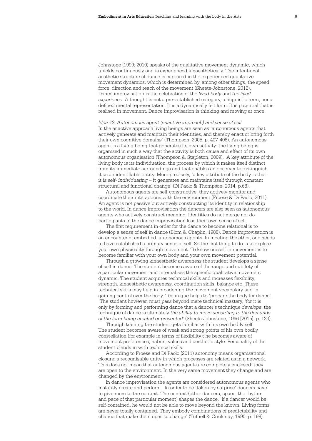Johnstone (1999; 2010) speaks of the qualitative movement dynamic, which unfolds continuously and is experienced kinaesthetically. The intentional aesthetic structure of dance is captured in the experienced qualitative movement dynamics, which is determined by, among other things, the speed, force, direction and reach of the movement (Sheets-Johnstone, 2012). Dance improvisation is the celebration of the *lived body* and *the lived experience*. A thought is not a pre-established category, a linguistic term, nor a defined mental representation. It is a dynamically felt form. It is potential that is realised in movement. Dance improvisation is thinking and moving at once.

*Idea #2: Autonomous agent (enactive approach) and sense of self*  In the enactive approach living beings are seen as 'autonomous agents that actively generate and maintain their identities, and thereby enact or bring forth their own cognitive domains' (Thompson, 2005, p. 407-408). An autonomous agent is a living being that generates its own activity: the living being is organised in such a way that the activity is both cause and effect of its own autonomous organisation (Thompson & Stapleton, 2009). A key attribute of the living body is its individuation, the process by which it makes itself distinct from its immediate surroundings and that enables an observer to distinguish it as an identifiable entity. More precisely, 'a key attribute of the body is that it is *self- individuating* – it generates and maintains itself through constant structural and functional change' (Di Paolo & Thompson, 2014, p.68).

Autonomous agents are self-constructive: they actively monitor and coordinate their interactions with the environment (Froese & Di Paolo, 2011). An agent is not passive but actively constructing its identity in relationship to the world. In dance improvisation the dancers are also seen as autonomous agents who actively construct meaning. Identities do not merge nor do participants in the dance improvisation lose their own sense of self.

The first requirement in order for the dance to become relational is to develop a sense of self in dance (Blom & Chaplin, 1988). Dance improvisation is an encounter of embodied, autonomous agents. In meeting the other, one needs to have established a primary sense of self. So the first thing to do is to explore your own physicality through movement. To know oneself in movement is to become familiar with your own body and your own movement potential.

Through a growing kinaesthetic awareness the student develops a sense of self in dance. The student becomes aware of the range and subtlety of a particular movement and internalises the specific qualitative movement dynamic. The student acquires technical skills and increases flexibility, strength, kinaesthetic awareness, coordination skills, balance etc. These technical skills may help in broadening the movement vocabulary and in gaining control over the body. Technique helps to 'prepare the body for dance'. 'The student however, must pass beyond mere technical mastery, 'for it is only by forming and performing dance that a dancer's technique *develops*: the technique of dance is ultimately *the ability to move according to the demands of the form being created or presented'* (Sheets-Johnstone, 1966 [2015], p. 123).

Through training the student gets familiar with his own bodily self. The student becomes aware of weak and strong points of his own bodily constellation (for example in terms of flexibility); he becomes aware of movement preferences, habits, values and aesthetic style. Personality of the student blends in with technical skills.

According to Froese and Di Paolo (2011) autonomy means organisational closure: a recognisable unity in which processes are related as in a network. This does not mean that autonomous agents are completely enclosed: they are open to the environment. In the very same movement they change and are changed by the environment.

In dance improvisation the agents are considered autonomous agents who instantly create and perform. In order to be 'taken by surprise' dancers have to give room to the context. The context (other dancers, space, the rhythm and pace of that particular moment) shapes the dance. 'If a dancer would be self-contained, he would not be able to move beyond the known. Living forms are never totally contained. They embody combinations of predictability and chance that make them open to change' (Tufnell & Crickmay, 1990, p. 198).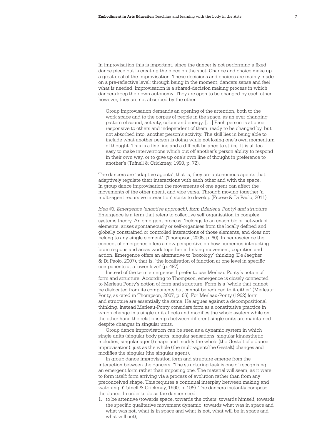In improvisation this is important, since the dancer is not performing a fixed dance piece but is creating the piece on the spot. Chance and choice make up a great deal of the improvisation. These decisions and choices are mainly made on a pre-reflective level: through being in the moment, dancers sense and feel what is needed. Improvisation is a shared-decision making process in which dancers keep their own autonomy. They are open to be changed by each other: however, they are not absorbed by the other.

 Group improvisation demands an opening of the attention, both to the work space and to the corpus of people in the space, as an ever-changing pattern of sound, activity, colour and energy. […] Each person is at once responsive to others and independent of them, ready to be changed by, but not absorbed into, another person's activity. The skill lies in being able to include what another person is doing while not losing one's own momentum of thought. This is a fine line and a difficult balance to strike. It is all too easy to make interventions which cut off another's person ability to respond in their own way, or to give up one's own line of thought in preference to another's (Tufnell & Crickmay, 1990, p. 72).

The dancers are 'adaptive agents', that is, they are autonomous agents that adaptively regulate their interactions with each other and with the space. In group dance improvisation the movements of one agent can affect the movements of the other agent, and vice versa. Through moving together 'a multi-agent recursive interaction' starts to develop (Froese & Di Paolo, 2011).

*Idea #3: Emergence (enactive approach), form (Merleau-Ponty) and structure* Emergence is a term that refers to collective self-organisation in complex systems theory. An emergent process 'belongs to an ensemble or network of elements, arises spontaneously or self-organises from the locally defined and globally constrained or controlled interactions of those elements, and does not belong to any single element' (Thompson, 2005, p. 60). In neuroscience the concept of emergence offers a new perspective on how numerous interacting brain regions and areas work together in linking movement, cognition and action. Emergence offers an alternative to 'boxology' thinking (De Jaegher & Di Paolo, 2007), that is, 'the localisation of function at one level in specific components at a lower level' (p. 487).

Instead of the term emergence, I prefer to use Merleau Ponty's notion of form and structure. According to Thompson, emergence is closely connected to Merleau Ponty's notion of form and structure. Form is a 'whole that cannot be dislocated from its components but cannot be reduced to it either' (Merleau-Ponty, as cited in Thompson, 2007, p. 66). For Merleau-Ponty (1962) form and structure are essentially the same. He argues against a decompositional thinking. Instead Merleau-Ponty considers form as a constitutive practice in which change in a single unit affects and modifies the whole system while on the other hand the relationships between different single units are maintained despite changes in singular units.

Group dance improvisation can be seen as a dynamic system in which single units (singular body parts, singular sensations, singular kinaesthetic melodies, singular agent) shape and modify the whole (the Gestalt of a dance improvisation): just as the whole (the multi-agent/the Gestalt) changes and modifies the singular (the singular agent).

In group dance improvisation form and structure emerge from the interaction between the dancers. 'The structuring task is one of recognising an emergent form rather than imposing one. The material will seem, as it were, to form itself: form arriving via a process of evolution rather than from any preconceived shape. This requires a continual interplay between making and watching' (Tufnell & Crickmay, 1990, p. 196). The dancers instantly compose the dance. In order to do so the dancer need:

1. to be attentive (towards space, towards the others, towards himself, towards the specific qualitative movement dynamic, towards what was in space and what was not, what is in space and what is not, what will be in space and what will not)<sup>.</sup>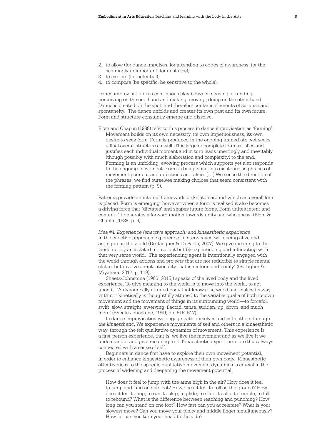- 2. to allow (for dance impulses, for attending to edges of awareness, for the seemingly unimportant, for mistakes);
- 3. to explore (for potential);
- 4. to compose (be specific, be sensitive to the whole).

Dance improvisation is a continuous play between sensing, attending, perceiving on the one hand and making, moving, doing on the other hand. Dance is created on the spot, and therefore contains elements of surprise and spontaneity. The dance unfolds and creates its own past and its own future. Form and structure constantly emerge and dissolve.

Blom and Chaplin (1988) refer to this process in dance improvisation as 'forming': Movement builds on its own necessity, its own impetuousness, its own desire to seek form. Form is produced in the ongoing immediate, yet seeks a final overall structure as well. This large or complete form satisfies and justifies each individual moment and in turn leads unerringly and inevitably (though possibly with much elaboration and complexity) to the end. Forming is an unfolding, evolving process which supports yet also responds to the ongoing movement. Form is being spun into existence as phrases of movement pour out and directions are taken. […] We sense the direction of the phrases: we find ourselves making choices that seem consistent with the forming pattern (p. 9).

Patterns provide an internal framework: a skeleton around which an overall form is placed. Form is emerging: however when a form is realised it also becomes a driving force that 'dictates' and shapes future forms. Form unites intent and content: 'it generates a forward motion towards unity and wholeness' (Blom & Chaplin, 1988, p. 9).

*Idea #4: Experience (enactive approach) and kinaesthetic experience*  In the enactive approach experience is interweaved with being alive and acting upon the world (De Jaegher & Di Paolo, 2007). We give meaning to the world not by an isolated mental act but by experiencing and interacting with that very same world. 'The experiencing agent is intentionally engaged with the world through actions and projects that are not reducible to simple mental states, but involve an intentionality that is motoric and bodily' (Gallagher & Miyahara, 2012, p. 119).

Sheets-Johnstone (1966 [2015]) speaks of the lived body and the lived experience. To give meaning to the world is to move into the world, to act upon it. 'A dynamically attuned body that knows the world and makes its way within it kinetically is thoughtfully attuned to the variable qualia of both its own movement and the movement of things in its surrounding world—to forceful, swift, slow, straight, swerving, flaccid, tense, sudden, up, down, and much more' (Sheets-Johnstone, 1999, pp. 516–517).

In dance improvisation we engage with ourselves and with others through *the kinaesthetic*. We experience movements of self and others in a kinaesthetic way, through the felt qualitative dynamics of movement. This experience is a first-person experience, that is, we live the movement and as we live it we understand it and give meaning to it. Kinaesthetic experiences are thus always connected with a sense of self.

Beginners in dance first have to explore their own movement potential, in order to enhance kinaesthetic awareness of their own body. Kinaesthetic attentiveness to the specific qualitative movement dynamics is crucial in the process of widening and deepening the movement potential.

 How does it feel to jump with the arms high in the air? How does it feel to jump and land on one foot? How does it feel to roll on the ground? How does it feel to hop, to run, to skip, to glide, to slide, to slip, to tumble, to fall, to rebound? What is the difference between reaching and punching? How long can you stand on one foot? How fast can you accelerate? What is your slowest move? Can you move your pinky and middle finger simultaneously? How far can you turn your head to the side?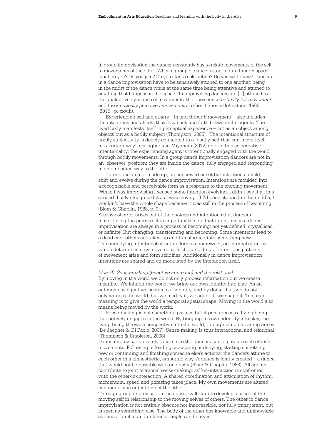In group improvisation the dancer constantly has to relate movements of the self to movements of the other. When a group of dancers start to run through space, what do you? Do you join? Do you start a solo action? Do you withdraw? Dancers in a dance improvisation have to be sensitively attuned to one another: being in the midst of the dance while at the same time being attentive and attuned to anything that happens in the space. 'In improvising dancers are [...] attuned to the qualitative dynamics of movements, their *own kinesthetically felt movement*, and the *kinetically perceived movement* of other' ( Sheets-Johnstone, 1966 [2015], p. xxviii).

Experiencing self and others – in and through movement – also includes the intentions and affects that flow back and forth between the agents. The lived body manifests itself in perceptual experience – not as an object among objects but as a bodily subject (Thompson, 2005). The intentional structure of bodily subjectivity is deeply connected to a 'bodily-self-that-can-move-itselfin-a-certain-way'. Gallagher and Miyahara (2012) refer to this as operative intentionality: the experiencing agent is intentionally engaged with the world through bodily movements. In a group dance improvisation dancers are not in an 'observer' position: they are inside the dance, fully engaged and responding in an embodied way to the other.

 Intentions are not made up, preconceived or set but intentions unfold, shift and evolve during the dance improvisation. Intentions are moulded into a recognisable and perceivable form as a response to the ongoing movement. 'While I was improvising I sensed some intention evolving. I didn't see it all in a second: I only recognized it as I was moving. If I'd been stopped in the middle, I wouldn't have the whole shape because it was still in the process of becoming' (Blom & Chaplin, 1988, p. 9).

A sense of order arises out of the choices and intentions that dancers make during the process. It is important to note that intentions in a dance improvisation are always in a process of becoming: not yet defined, crystallised or definite. But changing, transforming and becoming. Some intentions lead to a dead end: others are taken up and transformed into something new. The underlying intentional structure forms a framework, an internal structure, which determines new movement. In the unfolding of intentions patterns of movement arise and form solidifies. Additionally in dance improvisation intentions are shared and co-modulated by the interaction itself.

#### *Idea #5: Sense-making (enactive approach) and the relational*

By moving in the world we do not only process information but we create meaning. We inhabit the world: we bring our own identity into play. As an autonomous agent we sustain our identity, and by doing that, we do not only witness the world, but we modify it, we adapt it, we shape it. To create meaning is to give the world a temporal spatial shape. Moving in the world also means being moved by the world.

Sense-making is not something passive but it presupposes a living being that actively engages in the world. By bringing his own identity into play, the living being throws a perspective into the world, through which meaning arises (De Jaegher & Di Paolo, 2007). Sense-making is thus interactional and relational (Thompson & Stapleton, 2008).

Dance improvisation is relational since the dancers participate in each other's movements. Following or leading, accepting or denying, starting something new or continuing and finishing someone else's actions: the dancers attune to each other in a kinaesthetic, empathic way. A dance is jointly created – a dance that would not be possible with one body (Blom & Chaplin, 1988). All agents contribute to joint relational sense-making: self-in-interaction is confronted with the other-in-interaction. A shared coordination and articulation of rhythm, momentum, speed and phrasing takes place. My own movements are altered contextually in order to meet the other.

Through group improvisation the dancer will learn to develop a sense of the moving self in relationship to the moving selves of others. The other in dance improvisation is not entirely obscure nor inaccessible, nor fully transparent, but is seen as something else. The body of the other has knowable and unknowable surfaces, familiar and unfamiliar angles and curves.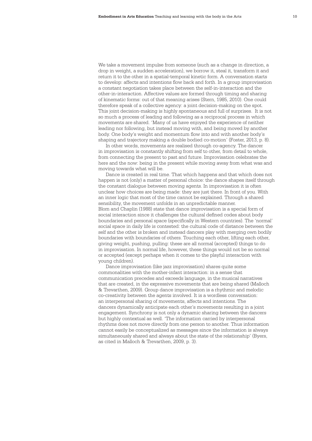We take a movement impulse from someone (such as a change in direction, a drop in weight, a sudden acceleration), we borrow it, steal it, transform it and return it to the other in a spatial-temporal kinetic form. A conversation starts to develop: affects and intentions flow back and forth. In a group improvisation a constant negotiation takes place between the self-in-interaction and the other-in-interaction. Affective values are formed through timing and sharing of kinematic forms: out of that meaning arises (Stern, 1985, 2010). One could therefore speak of a collective agency: a joint decision-making on the spot. This joint decision-making is highly spontaneous and full of surprises. It is not so much a process of leading and following as a reciprocal process in which movements are shared. 'Many of us have enjoyed the experience of neither leading nor following, but instead moving with, and being moved by another body. One body's weight and momentum flow into and with another body's shaping and trajectory making a double bodied co-motion' (Foster, 2013, p. 8).

In other words, movements are realised through co-agency. The dancer in improvisation is constantly shifting from self to other, from detail to whole, from connecting the present to past and future. Improvisation celebrates the here and the now: being in the present while moving away from what was and moving towards what will be.

Dance is created in real time. That which happens and that which does not happen is not (only) a matter of personal choice: the dance shapes itself through the constant dialogue between moving agents. In improvisation it is often unclear how choices are being made: they are just there. In front of you. With an inner logic that most of the time cannot be explained. Through a shared sensibility, the movement unfolds in an unpredictable manner. Blom and Chaplin (1988) state that dance improvisation is a special form of social interaction since it challenges the cultural defined codes about body boundaries and personal space (specifically in Western countries). The 'normal' social space in daily life is contested: the cultural code of distance between the self and the other is broken and instead dancers play with merging own bodily boundaries with boundaries of others. Touching each other, lifting each other, giving weight, pushing, pulling: these are all normal (accepted) things to do in improvisation. In normal life, however, these things would not be so normal or accepted (except perhaps when it comes to the playful interaction with young children).

Dance improvisation (like jazz improvisation) shares quite some commonalities with the mother-infant interaction: in a sense that communication precedes and exceeds language, in the musical narratives that are created, in the expressive movements that are being shared (Malloch & Trevarthen, 2009). Group dance improvisation is a rhythmic and melodic co-creativity between the agents involved. It is a wordless conversation: an interpersonal sharing of movements, affects and intentions. The dancers dynamically anticipate each other's movements resulting in a joint engagement. Synchrony is not only a dynamic sharing between the dancers but highly contextual as well. 'The information carried by interpersonal rhythms does not move directly from one person to another. Thus information cannot easily be conceptualized as messages since the information is always simultaneously shared and always about the state of the relationship' (Byers, as cited in Malloch & Trevarthen, 2009, p. 3).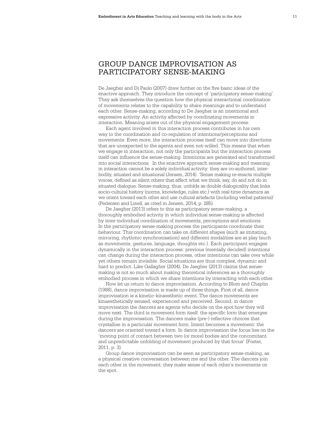# GROUP DANCE IMPROVISATION AS PARTICIPATORY SENSE-MAKING

De Jaegher and Di Paolo (2007) draw further on the five basic ideas of the enactive approach. They introduce the concept of 'participatory sense-making'. They ask themselves the question how the physical interactional coordination of movements relates to the capability to share meanings and to understand each other. Sense-making, according to De Jaegher is an intentional and expressive activity. An activity affected by coordinating movements in interaction. Meaning arises out of the physical engagement process.

Each agent involved in this interaction process contributes in his own way to the coordination and co-regulation of intentions/perceptions and movements. Even more, the interaction process itself can move into directions that are unexpected to the agents and even not-willed. This means that when we engage in interaction, not only the participants but the interaction process itself can influence the sense-making. Intentions are generated and transformed into social interactions. In the enactive approach sense-making and meaning in interaction cannot be a solely individual activity: they are co-authored, interbodily, situated and situational (Jensen, 2014). 'Sense making re-enacts multiple voices, defined as silent others that affect what we think, say, do and not do in situated dialogue. Sense-making, thus, unfolds as double dialogicality that links socio-cultural history (norms, knowledge, rules etc.) with real-time dynamics as we orient toward each other and use cultural artefacts (including verbal patterns)' (Pedersen and Linell, as cited in Jensen, 2014, p. 285).

De Jaegher (2013) refers to this as participatory sense-making, a thoroughly embodied activity in which individual sense-making is affected by inter-individual coordination of movements, perceptions and emotions. In the participatory sense-making process the participants coordinate their behaviour. This coordination can take on different shapes (such as imitating, mirroring, rhythmic synchronisation) and different modalities are at play (such as movements, gestures, language, thoughts etc.). Each participant engages dynamically in the interaction process: previous (mentally decided) intentions can change during the interaction process, other intentions can take over while yet others remain invisible. Social situations are thus complex, dynamic and hard to predict. Like Gallagher (2004), De Jaegher (2013) claims that sensemaking is not so much about making theoretical inferences as a thoroughly embodied process in which we share intentions by interacting with each other.

Now let us return to dance improvisation. According to Blom and Chaplin (1988), dance improvisation is made up of three things. First of all, dance improvisation is a kinetic-kinaesthetic event. The dance movements are kinaesthetically sensed, experienced and perceived. Second, in dance improvisation the dancers are agents who decide on the spot how they will move next. The third is movement form itself: the specific form that emerges during the improvisation. The dancers make (pre-) reflective choices that crystallise in a particular movement form. Intent becomes a movement: the dancers are oriented toward a form. In dance improvisation the focus lies on the 'moving point of contact between two (or more) bodies and the concomitant and unpredictable unfolding of movement produced by that focus' (Foster, 2011, p. 3).

Group dance improvisation can be seen as participatory sense-making, as a physical creative conversation between me and the other. The dancers join each other in the movement: they make sense of each other's movements on the spot.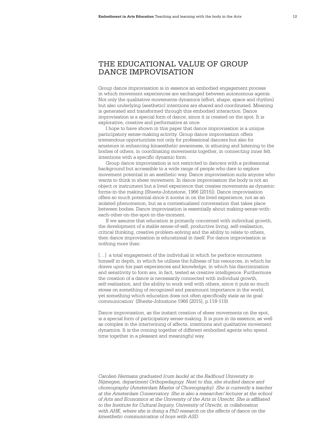# THE EDUCATIONAL VALUE OF GROUP DANCE IMPROVISATION

Group dance improvisation is in essence an embodied engagement process in which movement experiences are exchanged between autonomous agents. Not only the qualitative movements dynamics (effort, shape, space and rhythm) but also underlying (aesthetic) intentions are shared and coordinated. Meaning is generated and transformed through this embodied interaction. Dance improvisation is a special form of dance, since it is created on the spot. It is explorative, creative and performative at once

I hope to have shown in this paper that dance improvisation is a unique participatory sense-making activity. Group dance improvisation offers tremendous opportunities not only for professional dancers but also for amateurs in enhancing kinaesthetic awareness, in attuning and listening to the bodies of others, in coordinating movements together, in connecting inner felt intentions with a specific dynamic form.

Group dance improvisation is not restricted to dancers with a professional background but accessible to a wide range of people who dare to explore movement potential in an aesthetic way. Dance improvisation suits anyone who wants to think in sheer movement. In dance improvisation the body is not an object or instrument but a lived experience that creates movements as dynamic forms-in-the making (Sheets-Johnstone, 1966 [2015]). Dance improvisation offers so much potential since it zooms in on the lived experience, not as an isolated phenomenon, but as a contextualised conversation that takes place between bodies. Dance improvisation is essentially about making-sense-witheach-other-on-the-spot-in-the-moment.

If we assume that education is primarily concerned with individual growth, the development of a stable sense-of-self, productive living, self-realisation, critical thinking, creative problem-solving and the ability to relate to others, then dance improvisation is educational in itself. For dance improvisation is nothing more than:

[...] a total engagement of the individual in which he perforce encounters himself in depth, in which he utilizes the fullness of his resources, in which he draws upon his past experiences and knowledge, in which his discrimination and sensitivity to form are, in fact, tested as creative intelligence. Furthermore the creation of a dance is necessarily connected with individual growth, self-realization, and the ability to work well with others, since it puts so much stress on something of recognized and paramount importance in the world, yet something which education does not often specifically state as its goal: communication' (Sheets-Johnstone 1966 [2015], p.118-119).

Dance improvisation, as the instant creation of sheer movements on the spot, is a special form of participatory sense-making. It is pure in its essence, as well as complex in the intertwining of affects, intentions and qualitative movement dynamics. It is the coming together of different embodied agents who spend time together in a pleasant and meaningful way.

*Carolien Hermans graduated (cum laude) at the Radboud University in Nijmegen, department Orthopedagogy. Next to this, she studied dance and choreography (Amsterdam Master of Choreography). She is currently a teacher at the Amsterdam Conservatory. She is also a researcher/ lecturer at the school of Arts and Economics at the University of the Arts in Utrecht. She is affiliated to the Institute for Cultural Inquiry, University of Utrecht, in collaboration*  with AHK, where she is doing a PhD research on the effects of dance on the *kinesthetic communication of boys with ASD.*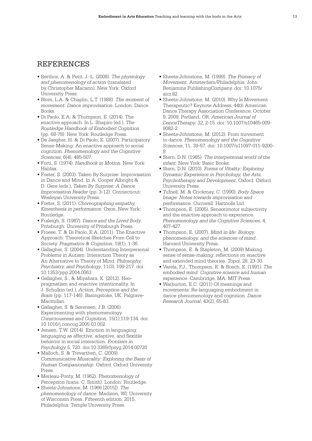## REFERENCES

- Berthoz, A. & Petit, J.-L. (2008). *The physiology and phenomenology of action* (translated by Christopher Macann). New York: Oxford University Press.
- Blom, L.A. & Chaplin, L.T. (1988). *The moment of movement: Dance improvisation*. London: Dance Books.
- Di Paolo, E.A. & Thompson, E. (2014). The enactive approach. In L. Shapiro (ed.), *The Routledge Handbook of Embodied Cognition* (pp. 68-78). New York: Routledge Press.
- De Jaegher, H. & Di Paolo, E. (2007). Participatory Sense-Making: An enactive approach to social cognition. *Phenomenology and the Cognitive Sciences*, 6(4), 485-507.
- Forti, S. (1974). *Handbook in Motion*. New York: Halifax.
- Foster, S. (2003). Taken By Surprise: Improvisation in Dance and Mind. In A. Cooper Albright & D. Gere (eds.), *Taken By Surprise: A Dance Improvisation Reader* (pp. 3-12). Connecticut: Wesleyan University Press.
- Foster, S. (2011). *Choreographing empathy, Kinesthesia in performance*. Oxon, New York: Routledge.
- Fraleigh, S. (1987). *Dance and the Lived Body*. Pittsburgh: University of Pittsburgh Press.
- Froese, T. & Di Paolo, E.A. (2011). The Enactive Approach: Theoretical Sketches From Cell to Society. *Pragmatics & Cognition*, 19(1), 1-36.
- Gallagher, S. (2004). Understanding Interpersonal Problems in Autism: Interaction Theory as An Alternative to Theory of Mind. *Philosophy, Psychiatry, and Psychology*, 11(3), 199-217. doi: 10.1353/ppp.2004.0063
- Gallagher, S., & Miyahara, K. (2012). Neopragmatism and enactive intentionality. In J. Schulkin (ed.), *Action, Perception and the Brain* (pp. 117-146). Basingstoke, UK: Palgrave-Macmillan.
- Gallagher, S. & Sørensen, J.B. (2006). Experimenting with phenomenology. *Consciousness and Cognition*, 15(1),119-134. doi: 10.1016/j.concog.2005.03.002
- Jensen, T.W. (2014). Emotion in languaging: languaging as affective, adaptive, and flexible behavior in social interaction. *Frontiers in Psychology 5*, 720. doi:10.3389/fpsyg.2014.00720
- Malloch, S. & Trevarthen, C. (2009). *Communicative Musicality: Exploring the Basis of Human Companionship*. Oxford: Oxford University Press.
- Merleau-Ponty, M. (1962). *Phenomenology of Perception* (trans. C. Smith). London: Routledge.
- Sheets-Johnstone, M. (1966 [2015]). *The phenomenology of dance*. Madison, WI: University of Wisconsin Press. Fifteenth edition: 2015, Philadelphia: Temple University Press.
- Sheets-Johnstone, M. (1999). *The Primacy of Movement.* Amsterdam/Philadelphia: John Benjamins PublishingCompany. doi: 10.1075/ aicr.82
- Sheets-Johnstone, M. (2010). Why Is Movement Therapeutic? Keynote Address, 44th American Dance Therapy Association Conference, October 9, 2009, Portland, OR. *American Journal of DanceTherapy, 32*, 2-15. doi: 10.1007/s10465-009- 9082-2
- Sheets-Johnstone, M. (2012). From movement to dance. *Phenomenology and the Cognitive Sciences*, 11, 39-57. doi: 10.1007/s11097-011-9200- 8
- Stern, D.N. (1985). *The interpersonal world of the infant.* New York: Basic Books.
- Stern, D.N. (2010). *Forms of Vitality: Exploring Dynamic Experience in Psychology, the Arts, Psychotherapy and Development*. Oxford: Oxford University Press.
- Tufnell, M. & Crickmay, C. (1990). *Body Space Image: Notes towards improvisation and performance*. Cornwall: Hartnolls Ltd.
- Thompson, E. (2005). Sensorimotor subjectivity and the enactive approach to experience. *Phenomenology and the Cognitive Sciences*, 4, 407-427.
- Thompson, E. (2007). *Mind in life: Biology, phenomenology, and the sciences of mind*. Harvard University Press.
- Thompson, E. & Stapleton, M. (2009) Making sense of sense-making: reflections on enactive and extended mind theories. *Topoi*, 28, 23-30.
- Varela, F.J., Thompson, E. & Rosch, E. (1991). *The embodied mind: Cognitive science and human experience*. Cambridge, MA: MIT Press.
- Warburton, E.C. (2011) Of meanings and movements: Re-languaging embodiment in dance phenomenology and cognition. *Dance Research Journal*, 43(2), 65-83.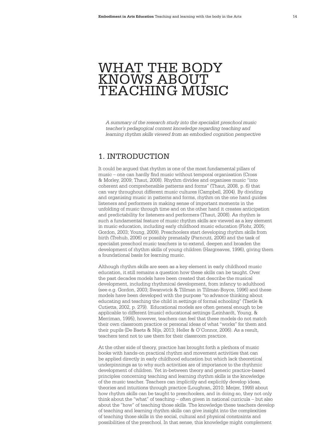# WHAT THE BODY KNOWS ABOUT TEACHING MUSIC

*A summary of the research study into the specialist preschool music teacher's pedagogical content knowledge regarding teaching and learning rhythm skills viewed from an embodied cognition perspective*

# 1. INTRODUCTION

It could be argued that rhythm is one of the most fundamental pillars of music – one can hardly find music without temporal organisation (Cross & Morley, 2009; Thaut, 2008). Rhythm divides and organises music "into coherent and comprehensible patterns and forms" (Thaut, 2008, p. 6) that can vary throughout different music cultures (Campbell, 2004). By dividing and organising music in patterns and forms, rhythm on the one hand guides listeners and performers in making sense of important moments in the unfolding of music through time and on the other hand it creates anticipation and predictability for listeners and performers (Thaut, 2008). As rhythm is such a fundamental feature of music rhythm skills are viewed as a key element in music education, including early childhood music education (Flohr, 2005; Gordon, 2003; Young, 2009). Preschoolers start developing rhythm skills from birth (Trehub, 2006) or possibly prenatally (Parncutt, 2006) and the task of specialist preschool music teachers is to extend, deepen and broaden the development of rhythm skills of young children (Hargreaves, 1996), giving them a foundational basis for learning music.

Although rhythm skills are seen as a key element in early childhood music education, it still remains a question how these skills can be taught. Over the past decades models have been created that describe the musical development, including rhythmical development, from infancy to adulthood (see e.g. Gordon, 2003; Swanwick & Tillman in Tillman-Boyce, 1996) and these models have been developed with the purpose "to advance thinking about educating and teaching the child in settings of formal schooling" (Taetle & Cutietta, 2002, p. 279). Educational models are often general enough to be applicable to different (music) educational settings (Leinhardt, Young, & Merriman, 1995), however, teachers can feel that these models do not match their own classroom practice or personal ideas of what "works" for them and their pupils (De Baets & Nijs, 2013; Heller & O'Connor, 2006). As a result, teachers tend not to use them for their classroom practice.

At the other side of theory, practice has brought forth a plethora of music books with hands-on practical rhythm and movement activities that can be applied directly in early childhood education but which lack theoretical underpinnings as to why such activities are of importance to the rhythmic development of children. Yet in-between theory and generic practice-based principles concerning teaching and learning rhythm skills is the knowledge of the music teacher. Teachers can implicitly and explicitly develop ideas, theories and intuitions through practice (Loughran, 2010; Meijer, 1999) about how rhythm skills can be taught to preschoolers, and in doing so, they not only think about the "what" of teaching – often given in national curricula – but also about the "how" of teaching those skills. The knowledge these teachers develop of teaching and learning rhythm skills can give insight into the complexities of teaching those skills in the social, cultural and physical constraints and possibilities of the preschool. In that sense, this knowledge might complement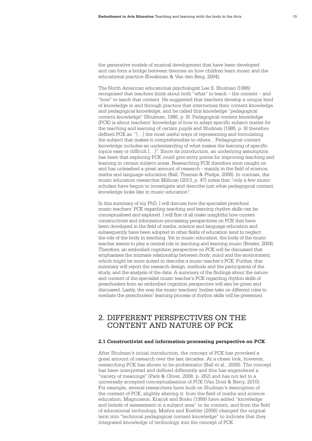the generative models of musical development that have been developed and can form a bridge between theories on how children learn music and the educational practice (Kwakman & Van den Berg, 2004).

The North American educational psychologist Lee S. Shulman (1986) recognised that teachers think about both "what" to teach – the content – and "how" to teach that content. He suggested that teachers develop a unique kind of knowledge in and through practice that intertwines their content knowledge and pedagogical knowledge, and he called this knowledge "pedagogical content knowledge" (Shulman, 1986, p. 9). Pedagogical content knowledge (PCK) is about teachers' knowledge of how to adapt specific subject matter for the teaching and learning of certain pupils and Shulman (1986, p. 9) therefore defined PCK as: "[…] the most useful ways of representing and formulating the subject that makes it comprehensible to others... Pedagogical content knowledge includes an understanding of what makes the learning of specific topics easy or difficult […]". Since its introduction, an underlying assumption has been that exploring PCK could give entry points for improving teaching and learning in certain subject areas. Researching PCK therefore soon caught on and has unleashed a great amount of research - mainly in the field of science, maths and language education (Ball, Thames & Phelps, 2008). In contrast, the music education researcher Millican (2013, p. 47) notes that "only a few music scholars have begun to investigate and describe just what pedagogical content knowledge looks like in music education".

In this summary of my PhD, I will discuss how the specialist preschool music teachers' PCK regarding teaching and learning rhythm skills can be conceptualised and explored. I will first of all make insightful how current constructivist and information-processing perspectives on PCK that have been developed in the field of maths, science and language education and subsequently have been adopted in other fields of education tend to neglect the role of the body in teaching. Yet in music education, the body of the music teacher seems to play a central role in teaching and learning music (Bresler, 2004). Therefore, an embodied cognition perspective on PCK will be discussed that emphasises the intimate relationship between *body*, mind and the environment, which might be more suited to describe a music teacher's PCK. Further, this summary will report the research design, methods and the participants of the study, and the analysis of the data. A summary of the findings about the nature and content of the specialist music teacher's PCK regarding rhythm skills of preschoolers from an embodied cognition perspective will also be given and discussed. Lastly, the way the music teachers' bodies take on different roles to mediate the preschoolers' learning process of rhythm skills will be presented.

# 2. DIFFERENT PERSPECTIVES ON THE CONTENT AND NATURE OF PCK

### **2.1 Constructivist and information-processing perspective on PCK**

After Shulman's initial introduction, the concept of PCK has provoked a great amount of research over the last decades. At a closer look, however, researching PCK has shown to be problematic (Ball et al., 2008). The concept has been interpreted and defined differently and this has engendered a "variety of meanings" (Park & Oliver, 2008, p. 262) and has not led to a universally accepted conceptualisation of PCK (Van Driel & Berry, 2010). For example, several researchers have built on Shulman's description of the *content* of PCK, slightly altering it: from the field of maths and science education, Magnusson, Krajcik and Borko (1999) have added "knowledge and beliefs of assessment in a subject area" to its content, and from the field of educational technology, Mishra and Koehler (2006) changed the original term into "technical pedagogical content knowledge" to indicate that they integrated knowledge of technology into the concept of PCK.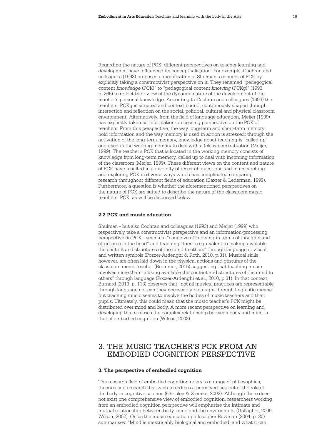Regarding the nature of PCK, different perspectives on teacher learning and development have influenced its conceptualisation. For example, Cochran and colleagues (1993) proposed a modification of Shulman's concept of PCK by explicitly taking a constructivist perspective on it. They renamed "pedagogical content *knowledge* (PCK)" to "pedagogical content *knowing* (PCKg)" (1993, p. 265) to reflect their view of the dynamic nature of the development of the teacher's personal knowledge. According to Cochran and colleagues (1993) the teachers' PCKg is situated and context bound, continuously shaped through interaction and reflection on the social, political, cultural and physical classroom environment. Alternatively, from the field of language education, Meijer (1999) has explicitly taken an information-processing perspective on the PCK of teachers. From this perspective, the way long-term and short-term memory hold information and the way memory is used in action is stressed: through the activation of the long-term memory, knowledge about teaching is "called up" and used in the working memory to deal with a (classroom) situation (Meijer, 1999). The teacher's PCK that is located in the working memory consists of knowledge from long-term memory, called up to deal with incoming information of the classroom (Meijer, 1999). These different views on the content and nature of PCK have resulted in a diversity of research questions and in researching and exploring PCK in diverse ways which has complicated comparing research throughout different fields of education (Baxter & Lederman, 1999). Furthermore, a question is whether the aforementioned perspectives on the nature of PCK are suited to describe the nature of the classroom music teachers' PCK, as will be discussed below.

#### **2.2 PCK and music education**

Shulman - but also Cochran and colleagues (1993) and Meijer (1999) who respectively take a constructivist perspective and an information-processing perspective on PCK - seems to "conceive of knowing in terms of thoughts and structures in the head" and teaching "then is equivalent to making available the content and structures of the mind to others" through language or visual and written symbols (Pozzer-Ardenghi & Roth, 2010, p.31). Musical skills, however, are often laid down in the physical actions and gestures of the classroom music teacher (Bremmer, 2015) suggesting that teaching music involves more than "making available the content and structures of the mind to others" through language (Pozzer-Ardenghi et al., 2010, p.31). In that context, Burnard (2013, p. 113) observes that "not all musical practices are representable through language nor can they necessarily be taught through linguistic means" but teaching music seems to involve the bodies of music teachers and their pupils. Ultimately, this could mean that the music teacher's PCK might be distributed over mind and body. A more recent perspective on learning and developing that stresses the complex relationship between body and mind is that of embodied cognition (Wilson, 2002).

# 3. THE MUSIC TEACHER'S PCK FROM AN EMBODIED COGNITION PERSPECTIVE

#### **3. The perspective of embodied cognition**

The research field of embodied cognition refers to a range of philosophies, theories and research that wish to redress a perceived neglect of the role of the body in cognitive science (Chrisley & Ziemke, 2002). Although there does not exist one comprehensive view of embodied cognition, researchers working from an embodied cognition perspective will emphasise the intimate and mutual relationship between body, mind and the environment (Gallagher, 2009; Wilson, 2002). Or, as the music education philosopher Bowman (2004, p. 30) summarises: "Mind is inextricably biological and embodied; and what it can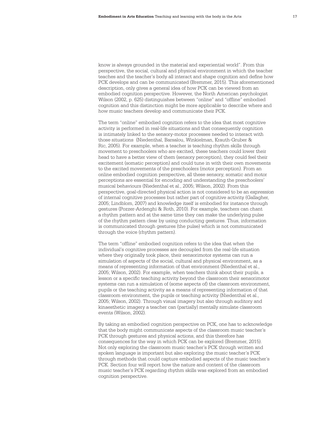know is always grounded in the material and experiential world". From this perspective, the social, cultural and physical environment in which the teacher teaches and the teacher's body all interact and shape cognition and define how PCK develops and can be communicated (Bremmer, 2015). This aforementioned description, only gives a general idea of how PCK can be viewed from an embodied cognition perspective. However, the North American psychologist Wilson (2002, p. 625) distinguishes between "online" and "offline" embodied cognition and this distinction might be more applicable to describe where and how music teachers develop and communicate their PCK.

The term "online" embodied cognition refers to the idea that most cognitive activity is performed in real-life situations and that consequently cognition is intimately linked to the sensory-motor processes needed to interact with those situations (Niedenthal, Barsalou, Winkielman, Krauth-Gruber & Ric, 2005). For example, when a teacher is teaching rhythm skills through movement to preschoolers who are excited, these teachers could lower their head to have a better view of them (sensory perception), they could feel their excitement (somatic perception) and could tune in with their own movements to the excited movements of the preschoolers (motor perception). From an online embodied cognition perspective, all these sensory, somatic and motor perceptions are essential for encoding and understanding the preschoolers' musical behaviours (Niedenthal et al., 2005; Wilson, 2002). From this perspective, goal-directed physical action is not considered to be an *expression* of internal cognitive processes but rather part of cognitive activity (Gallagher, 2005; Lindblom, 2007) and knowledge itself is embodied for instance through gestures (Pozzer-Ardenghi & Roth, 2010). For example, teachers can chant a rhythm pattern and at the same time they can make the underlying pulse of the rhythm pattern clear by using conducting gestures. Thus, information is communicated through gestures (the pulse) which is not communicated through the voice (rhythm pattern).

The term "offline" embodied cognition refers to the idea that when the individual's cognitive processes are decoupled from the real-life situation where they originally took place, their sensorimotor systems can run a simulation of aspects of the social, cultural and physical environment, as a means of representing information of that environment (Niedenthal et al., 2005; Wilson, 2002). For example, when teachers think about their pupils, a lesson or a specific teaching activity beyond the classroom their sensorimotor systems can run a simulation of (some aspects of) the classroom environment, pupils or the teaching activity as a means of representing information of that classroom environment, the pupils or teaching activity (Niedenthal et al., 2005; Wilson, 2002). Through visual imagery but also through auditory and kinaesthetic imagery a teacher can (partially) mentally simulate classroom events (Wilson, 2002).

By taking an embodied cognition perspective on PCK, one has to acknowledge that the body might communicate aspects of the classroom music teacher's PCK through gestures and physical actions, and this therefore has consequences for the way in which PCK can be explored (Bremmer, 2015). Not only exploring the classroom music teacher's PCK through written and spoken language is important but also exploring the music teacher's PCK through methods that could capture embodied aspects of the music teacher's PCK. Section four will report how the nature and content of the classroom music teacher's PCK regarding rhythm skills was explored from an embodied cognition perspective.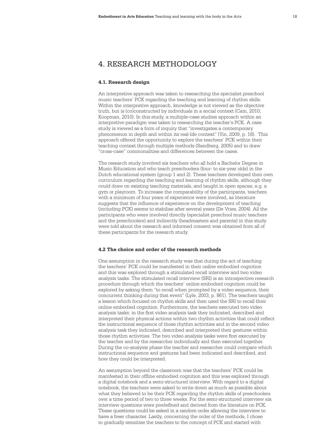# 4. RESEARCH METHODOLOGY

#### **4.1. Research design**

An interpretive approach was taken to researching the specialist preschool music teachers' PCK regarding the teaching and learning of rhythm skills. Within the interpretive approach, knowledge is not viewed as the objective truth, but is (co)constructed by individuals in a social context (Cain, 2010; Koopman, 2010). In this study, a multiple-case studies approach within an interpretive paradigm was taken to researching the teacher's PCK. A case study is viewed as a form of inquiry that "investigates a contemporary phenomenon in depth and within its real-life context" (Yin, 2009, p. 18). This approach offered the opportunity to explore the teachers' PCK within their teaching context through multiple methods (Sandberg, 2005) and to draw "cross-case" commonalities and differences between the cases.

The research study involved six teachers who all hold a Bachelor Degree in Music Education and who teach preschoolers (four- to six-year olds) in the Dutch educational system (group 1 and 2). These teachers developed their own curriculum regarding the teaching and learning of rhythm skills, although they could draw on existing teaching materials, and taught in open spaces, e.g. a gym or playroom. To increase the comparability of the participants, teachers with a minimum of four years of experience were involved, as literature suggests that the influence of experience on the development of teaching (including PCK) seems to stabilise after several years (De Vries, 2004). All the participants who were involved directly (specialist preschool music teachers and the preschoolers) and indirectly (headmasters and parents) in this study were told about the research and informed consent was obtained from all of these participants for the research study.

## **4.2 The choice and order of the research methods**

One assumption in the research study was that during the act of teaching the teachers' PCK could be manifested in their *online* embodied cognition and this was explored through a stimulated recall interview and two video analysis tasks. The stimulated recall interview (SRI) is an introspective research procedure through which the teachers' online embodied cognition could be explored by asking them "to recall when prompted by a video sequence, their concurrent thinking during that event" (Lyle, 2003, p. 861). The teachers taught a lesson which focused on rhythm skills and then used the SRI to recall their online embodied cognition. Furthermore, the teachers executed two video analysis tasks: in the first video analysis task they indicated, described and interpreted their physical actions within two rhythm activities that could reflect the instructional sequence of those rhythm activities and in the second video analysis task they indicated, described and interpreted their gestures within those rhythm activities. The two video analysis tasks were first executed by the teacher and by the researcher individually and then executed together. During the co-analysis phase the teacher and researcher could compare which instructional sequence and gestures had been indicated and described, and how they could be interpreted.

An assumption beyond the classroom was that the teachers' PCK could be manifested in their offline embodied cognition and this was explored through a digital notebook and a semi-structured interview. With regard to a digital notebook, the teachers were asked to write down as much as possible about what they believed to be their PCK regarding the rhythm skills of preschoolers over a time period of two to three weeks. For the semi-structured interview six interview questions were predefined and derived from the literature on PCK. These questions could be asked in a random order allowing the interview to have a freer character. Lastly, concerning the order of the methods, I chose to gradually sensitise the teachers to the concept of PCK and started with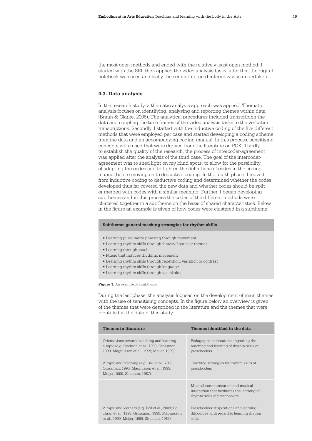the most open methods and ended with the relatively least open method: I started with the SRI, then applied the video analysis tasks, after that the digital notebook was used and lastly the semi-structured interview was undertaken.

#### **4.3. Data analysis**

In the research study, a thematic analysis approach was applied. Thematic analysis focuses on identifying, analysing and reporting themes within data (Braun & Clarke, 2006). The analytical procedures included transcribing the data and coupling the time frames of the video analysis tasks to the verbatim transcriptions. Secondly, I started with the inductive coding of the five different methods that were employed per case and started developing a coding scheme from the data and an accompanying coding manual. In this process, sensitising concepts were used that were derived from the literature on PCK. Thirdly, to establish the quality of the research, the process of intercoder-agreement was applied after the analysis of the third case. The goal of the intercoderagreement was to shed light on my blind spots, to allow for the possibility of adapting the codes and to tighten the definitions of codes in the coding manual before moving on to deductive coding. In the fourth phase, I moved from inductive coding to deductive coding and determined whether the codes developed thus far covered the new data and whether codes should be split or merged with codes with a similar meaning. Further, I began developing subthemes and in this process the codes of the different methods were clustered together in a subtheme on the basis of shared characteristics. Below in the figure an example is given of how codes were clustered in a subtheme:

#### **Subtheme: general teaching strategies for rhythm skills**

- Learning pulse metre phrasing through movement
- Learning rhythm skills through fantasy figures or themes
- Learning through touch
- Music that induces rhythmic movement
- Learning rhythm skills through repetition, variation or contrast
- Learning rhythm skills through language
- Learning rhythm skills through visual aids

**Figure 1:** An example of a subtheme

During the last phase, the analysis focused on the development of main themes with the use of sensitising concepts. In the figure below an overview is given of the themes that were described in the literature and the themes that were identified in the data of this study:

| Themes in literature                                                                                                                             | Themes identified in the data                                                                                      |
|--------------------------------------------------------------------------------------------------------------------------------------------------|--------------------------------------------------------------------------------------------------------------------|
| Orientations towards teaching and learning<br>a topic (e.g. Cochran et al., 1993; Grossman,<br>1990; Magnusson et al., 1999; Meijer, 1999)       | Pedagogical orientations regarding the<br>teaching and learning of rhythm skills of<br>preschoolers                |
| A topic and teaching (e.g. Ball et al., 2008;<br>Grossman, 1990; Magnusson et al., 1999;<br>Meijer, 1999; Shulman, 1987)                         | Teaching strategies for rhythm skills of<br>preschoolers                                                           |
|                                                                                                                                                  | Musical communication and musical<br>interaction that facilitates the learning of<br>rhythm skills of preschoolers |
| A topic and learners (e.g. Ball et al., 2008; Co-<br>chran et al., 1993; Grossman, 1990; Magnusson<br>et al., 1999; Meijer, 1999; Shulman, 1987) | Preschoolers' dispositions and learning<br>difficulties with regard to learning rhythm<br>skills                   |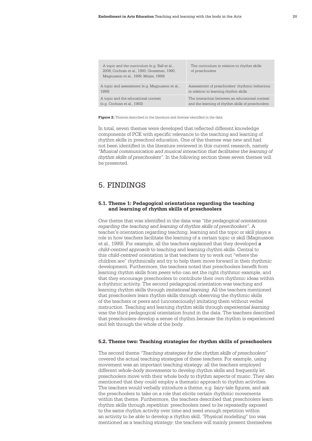| A topic and the curriculum (e.g. Ball et al.,<br>2008; Cochran et al., 1993; Grossman, 1990;<br>Magnusson et al., 1999; Meijer, 1999) | The curriculum in relation to rhythm skills<br>of preschoolers |
|---------------------------------------------------------------------------------------------------------------------------------------|----------------------------------------------------------------|
| A topic and assessment (e.g. Magnusson et al.,                                                                                        | Assessment of preschoolers' rhythmic behaviour                 |
| 1999)                                                                                                                                 | in relation to learning rhythm skills                          |
| A topic and the educational context                                                                                                   | The interaction between an educational context                 |
| (e.g. Cochran et al., 1993)                                                                                                           | and the learning of rhythm skills of preschoolers              |

**Figure 2:** Themes described in the literature and themes identified in the data

In total, seven themes were developed that reflected different knowledge components of PCK with specific relevance to the teaching and learning of rhythm skills in preschool education. One of the themes was new and had not been identified in the literature reviewed in this current research, namely *"Musical communication and musical interaction that facilitates the learning of rhythm skills of preschoolers"*. In the following section these seven themes will be presented.

# 5. FINDINGS

#### **5.1. Theme 1: Pedagogical orientations regarding the teaching and learning of rhythm skills of preschoolers**

One theme that was identified in the data was *"the pedagogical orientations regarding the teaching and learning of rhythm skills of preschoolers"*. A teacher's orientation regarding teaching, learning and the topic or skill plays a role in how teachers facilitate the learning of a certain topic or skill (Magnusson et al., 1999). For example, all the teachers explained that they developed *a child-centred approach* to teaching and learning rhythm skills. Central to this *child-centred* orientation is that teachers try to work out "where the children are" rhythmically and try to help them move forward in their rhythmic development. Furthermore, the teachers noted that preschoolers benefit from learning rhythm skills from *peers* who can set the right rhythmic example, and that they encourage preschoolers to contribute their own rhythmic ideas within a rhythmic activity. The second pedagogical orientation was teaching and learning rhythm skills through *imitational learning*. All the teachers mentioned that preschoolers learn rhythm skills through observing the rhythmic skills of the teachers or peers and (unconsciously) imitating them without verbal instruction. Teaching and learning rhythm skills through *experiential learning* was the third pedagogical orientation found in the data. The teachers described that preschoolers develop a sense of rhythm *because* the rhythm is experienced and felt through the whole of the body.

#### **5.2. Theme two: Teaching strategies for rhythm skills of preschoolers**

The second theme *"Teaching strategies for the rhythm skills of preschoolers"*  covered the actual teaching strategies of these teachers. For example, using movement was an important teaching strategy: all the teachers employed different *whole-body movements* to develop rhythm skills and frequently let preschoolers move with their whole body to rhythm aspects of music. They also mentioned that they could employ a thematic approach to rhythm activities. The teachers would verbally introduce a theme, e.g. fairy-tale figures, and ask the preschoolers to take on a role that elicits certain rhythmic movements within that theme. Furthermore, the teachers described that preschoolers learn rhythm skills through *repetition*: preschoolers need to be repeatedly exposed to the same rhythm activity over time and need enough repetition within an activity to be able to develop a rhythm skill. "Physical modelling" too was mentioned as a teaching strategy: the teachers will mainly present themselves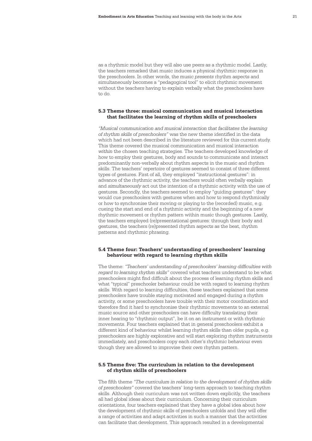as a rhythmic model but they will also use peers as a rhythmic model. Lastly, the teachers remarked that music induces a physical rhythmic response in the preschoolers. In other words, the music *presents* rhythm aspects and simultaneously becomes a "pedagogical tool" to elicit rhythmic movement without the teachers having to explain verbally what the preschoolers have to do.

#### **5.3 Theme three: musical communication and musical interaction that facilitates the learning of rhythm skills of preschoolers**

*"Musical communication and musical interaction that facilitates the learning of rhythm skills of preschoolers"* was the new theme identified in the data which had not been described in the literature reviewed for this current study. This theme covered the musical communication and musical interaction *within* the chosen teaching strategies. The teachers developed knowledge of how to employ their gestures, body and sounds to communicate and interact predominantly non-verbally about rhythm aspects in the music and rhythm skills. The teachers' repertoire of gestures seemed to consist of three different types of gestures. First of all, they employed "instructional gestures": in advance of the rhythmic activity, the teachers would often verbally explain and *simultaneously* act out the intention of a rhythmic activity with the use of gestures. Secondly, the teachers seemed to employ "guiding gestures": they would cue preschoolers with gestures when and how to respond rhythmically or how to synchronise their moving or playing to the (recorded) music, e.g. cueing the start and end of a rhythmic activity and the beginning of a new rhythmic movement or rhythm pattern within music though gestures. Lastly, the teachers employed (re)presentational gestures: through their body and gestures, the teachers (re)presented rhythm aspects as the beat, rhythm patterns and rhythmic phrasing.

#### **5.4 Theme four: Teachers' understanding of preschoolers' learning behaviour with regard to learning rhythm skills**

The theme: *"Teachers' understanding of preschoolers' learning difficulties with regard to learning rhythm skills"* covered what teachers understand to be what preschoolers might find difficult about the process of learning rhythm skills and what "typical" preschooler behaviour could be with regard to learning rhythm skills. With regard to learning difficulties, these teachers explained that some preschoolers have trouble staying motivated and engaged during a rhythm activity, or some preschoolers have trouble with their motor coordination and therefore find it hard to synchronise their rhythmic movements to an external music source and other preschoolers can have difficulty translating their inner hearing to "rhythmic output", be it on an instrument or with rhythmic movements. Four teachers explained that in general preschoolers exhibit a different kind of behaviour whilst learning rhythm skills than older pupils, e.g. preschoolers are highly explorative and will start exploring rhythm instruments immediately, and preschoolers copy each other's rhythmic behaviour even though they are allowed to improvise their *own* rhythm pattern.

## **5.5 Theme five: The curriculum in relation to the development of rhythm skills of preschoolers**

The fifth theme *"The curriculum in relation to the development of rhythm skills of preschoolers"* covered the teachers' long-term approach to teaching rhythm skills. Although their curriculum was not written down explicitly, the teachers all had global ideas about their curriculum. Concerning their curriculum orientations, four teachers explained that they have a global idea about how the development of rhythmic skills of preschoolers unfolds and they will offer a range of activities and adapt activities in such a manner that the activities can facilitate that development. This approach resulted in a developmental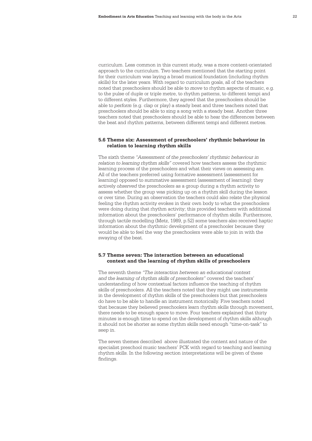curriculum. Less common in this current study, was a more content-orientated approach to the curriculum. Two teachers mentioned that the starting point for their curriculum was laying a broad musical foundation (including rhythm skills) for the later years. With regard to curriculum goals, all of the teachers noted that preschoolers should be able to *move* to rhythm aspects of music, e.g. to the pulse of duple or triple metre, to rhythm patterns, to different tempi and to different styles. Furthermore, they agreed that the preschoolers should be able to *perform* (e.g. clap or play) a steady beat and three teachers noted that preschoolers should be able to sing a song with a steady beat. Another three teachers noted that preschoolers should be able to hear the differences between the beat and rhythm patterns, between different tempi and different metres.

#### **5.6 Theme six: Assessment of preschoolers' rhythmic behaviour in relation to learning rhythm skills**

The sixth theme *"Assessment of the preschoolers' rhythmic behaviour in relation to learning rhythm skills"* covered how teachers assess the rhythmic learning process of the preschoolers and what their views on assessing are. All of the teachers preferred using formative assessment (assessment for learning) opposed to summative assessment (assessment of learning): they actively *observed* the preschoolers as a group during a rhythm activity to assess whether the group was picking up on a rhythm skill during the lesson or over time. During an observation the teachers could also relate the physical feeling the rhythm activity evokes in their own body to what the preschoolers were doing during that rhythm activity; this provided teachers with additional information about the preschoolers' performance of rhythm skills. Furthermore, through tactile modelling (Metz, 1989, p.52) some teachers also received haptic information about the rhythmic development of a preschooler because they would be able to feel the way the preschoolers were able to join in with the swaying of the beat.

#### **5.7 Theme seven: The interaction between an educational context and the learning of rhythm skills of preschoolers**

The seventh theme *"The interaction between an educational context and the learning of rhythm skills of preschoolers"* covered the teachers' understanding of how contextual factors influence the teaching of rhythm skills of preschoolers. All the teachers noted that they might use instruments in the development of rhythm skills of the preschoolers but that preschoolers do have to be able to handle an instrument motorically. Five teachers noted that because they believed preschoolers learn rhythm skills through movement, there needs to be enough space to move. Four teachers explained that thirty minutes is enough time to spend on the development of rhythm skills although it should not be shorter as some rhythm skills need enough "time-on-task" to seep in.

The seven themes described above illustrated the content and nature of the specialist preschool music teachers' PCK with regard to teaching and learning rhythm skills. In the following section interpretations will be given of these findings.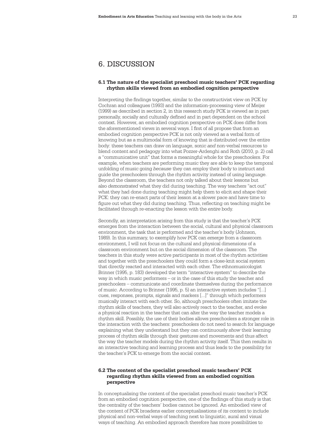# 6. DISCUSSION

#### **6.1 The nature of the specialist preschool music teachers' PCK regarding rhythm skills viewed from an embodied cognition perspective**

Interpreting the findings together, similar to the constructivist view on PCK by Cochran and colleagues (1993) and the information-processing view of Meijer (1999) as described in section 2, in this research study PCK is viewed as in part personally, socially and culturally defined and in part dependent on the school context. However, an embodied cognition perspective on PCK does differ from the aforementioned views in several ways. I first of all propose that from an embodied cognition perspective PCK is not only viewed as a verbal form of knowing but as a multimodal form of knowing that is distributed over the entire body: these teachers can draw on language, sonic *and* non-verbal resources to blend content and pedagogy into what Pozzer-Ardenghi and Roth (2010, p. 2) call a "communicative unit" that forms a meaningful whole for the preschoolers. For example, when teachers are performing music they are able to keep the temporal unfolding of music going *because* they can employ their body to instruct and guide the preschoolers through the rhythm activity instead of using language. Beyond the classroom, the teachers not only talked about their lessons but also *demonstrated* what they did during teaching. The way teachers "act out" what they had done during teaching might help them to elicit and shape their PCK: they can re-enact parts of their lesson at a slower pace and have time to figure out what they did during teaching. Thus, reflecting on teaching might be facilitated through re-enacting the lesson with the *entire* body.

Secondly, an interpretation arising from this study is that the teacher's PCK emerges from the interaction between the social, cultural and physical classroom environment, the task that is performed and the teacher's body (Johnson, 1989). In this summary, to exemplify how PCK can *emerge* from a classroom environment, I will not focus on the cultural and physical dimensions of a classroom environment but on the social dimension of the classroom. The teachers in this study were active participants in most of the rhythm activities and together with the preschoolers they could form a close-knit social system that directly reacted and interacted with each other. The ethnomusicologist Brinner (1995, p. 183) developed the term "interactive system" to describe the way in which music performers – or in the case of this study the teacher and preschoolers – communicate and coordinate themselves during the performance of music. According to Brinner (1995, p. 5) an interactive system includes "[...] cues, responses, prompts, signals and markers [...]" through which performers musically interact with each other. So, although preschoolers often imitate the rhythm skills of teachers, they will also actively react to the teacher, and evoke a physical reaction in the teacher that can alter the way the teacher models a rhythm skill. Possibly, the use of their bodies allows preschoolers a stronger role in the interaction with the teachers: preschoolers do not need to search for language explaining what they understand but they can continuously *show* their learning process of rhythm skills through their gestures and movements and thus affect the way the teacher models during the rhythm activity itself. This then results in an interactive teaching and learning process and thus leads to the possibility for the teacher's PCK to emerge from the social context.

#### **6.2 The content of the specialist preschool music teachers' PCK regarding rhythm skills viewed from an embodied cognition perspective**

In conceptualising the content of the specialist preschool music teacher's PCK from an embodied cognition perspective, one of the findings of this study is that the centrality of the teachers' bodies cannot be ignored. An embodied view of the content of PCK broadens earlier conceptualisations of its content to include physical and non-verbal ways of teaching next to linguistic, aural and visual ways of teaching. An embodied approach therefore has more possibilities to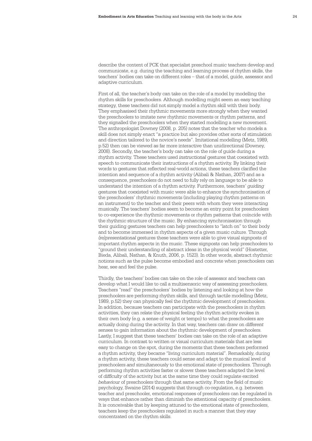describe the content of PCK that specialist preschool music teachers develop and communicate, e.g. during the teaching and learning process of rhythm skills, the teachers' bodies can take on different roles – that of a model, guide, assessor and adaptive curriculum.

First of all, the teacher's body can take on the role of a model by modelling the rhythm skills for preschoolers. Although modelling might seem an easy teaching strategy, these teachers did not simply model a rhythm skill with their body. They emphasised their rhythmic movements more strongly when they wanted the preschoolers to imitate new rhythmic movements or rhythm patterns, and they signalled the preschoolers when they started modelling a new movement. The anthropologist Downey (2008, p. 205) notes that the teacher who models a skill does not simply enact "a practice but also provides other sorts of stimulation and direction tailored to the novice's needs". Imitational modelling (Metz, 1989, p.52) then can be viewed as far more interactive than unidirectional (Downey, 2008). Secondly, the teacher's body can take on the role of guide during a rhythm activity. These teachers used *instructional* gestures that coexisted with speech to communicate their instructions of a rhythm activity. By linking their words to gestures that reflected real-world actions, these teachers clarified the intention and sequence of a rhythm activity (Alibali & Nathan, 2007) and as a consequence, preschoolers do not need to fully rely on language to be able to understand the intention of a rhythm activity. Furthermore, teachers' *guiding* gestures that coexisted with music were able to enhance the synchronisation of the preschoolers' rhythmic movements (including playing rhythm patterns on an instrument) to the teacher and their peers with whom they were interacting musically. The teachers' bodies seem to become an entry point for preschoolers to co-experience the rhythmic movements or rhythm patterns that coincide with the rhythmic structure of the music. By enhancing synchronisation through their guiding gestures teachers can help preschoolers to "latch on" to their body and to become immersed in rhythm aspects of a given music culture. Through *(re)presentational* gestures these teachers were able to give visual signposts of important rhythm aspects in the music. These signposts can help preschoolers to "ground their understanding of abstract ideas in the physical world" (Hostetter, Bieda, Alibali, Nathan, & Knuth, 2006, p. 1523). In other words, abstract rhythmic notions such as the pulse become embodied and concrete when preschoolers can hear, see and feel the pulse.

Thirdly, the teachers' bodies can take on the role of assessor and teachers can develop what I would like to call a multisensoric way of assessing preschoolers. Teachers "read" the preschoolers' bodies by listening and looking at how the preschoolers are performing rhythm skills, and through tactile modelling (Metz, 1989, p.52) they can physically feel the rhythmic development of preschoolers. In addition, because teachers can participate with the preschoolers in rhythm activities, they can relate the physical feeling the rhythm activity evokes in their own body (e.g. a sense of weight or tempo) to what the preschoolers are actually doing during the activity. In that way, teachers can draw on *different* senses to gain information about the rhythmic development of preschoolers. Lastly, I suggest that these teachers' bodies can take on the role of an adaptive curriculum. In contrast to written or visual curriculum materials that are less easy to change on the spot, during the moments that these teachers performed a rhythm activity, they became "living curriculum material". Remarkably, during a rhythm activity, these teachers could sense and adapt to the musical level of preschoolers *and* simultaneously to the emotional state of preschoolers. Through performing rhythm activities faster or slower these teachers adapted the level of *difficulty* of the activity but at the same time they could regulate excited *behaviour* of preschoolers through that same activity. From the field of music psychology, Swaine (2014) suggests that through co-regulation, e.g. between teacher and preschooler, emotional responses of preschoolers can be regulated in ways that enhance rather than diminish the attentional capacity of preschoolers. It is conceivable that by keeping attuned to the emotional state of preschoolers, teachers keep the preschoolers regulated in such a manner that they stay concentrated on the rhythm skills.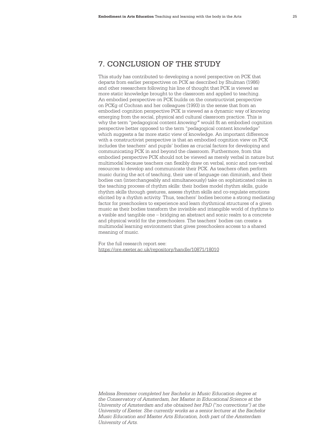# 7. CONCLUSION OF THE STUDY

This study has contributed to developing a novel perspective on PCK that departs from earlier perspectives on PCK as described by Shulman (1986) and other researchers following his line of thought that PCK is viewed as more static knowledge brought to the classroom and applied to teaching. An embodied perspective on PCK builds on the constructivist perspective on PCKg of Cochran and her colleagues (1993) in the sense that from an embodied cognition perspective PCK is viewed as a dynamic way of knowing emerging from the social, physical and cultural classroom practice. This is why the term "pedagogical content *knowing"* would fit an embodied cognition perspective better opposed to the term "pedagogical content knowledge" which suggests a far more static view of knowledge. An important difference with a constructivist perspective is that an embodied cognition view on PCK includes the teachers' and pupils' bodies as crucial factors for developing and communicating PCK in and beyond the classroom. Furthermore, from this embodied perspective PCK should not be viewed as merely verbal in nature but multimodal because teachers can flexibly draw on verbal, sonic and non-verbal resources to develop and communicate their PCK. As teachers often perform music during the act of teaching, their use of language can diminish, and their bodies can (interchangeably and simultaneously) take on sophisticated roles in the teaching process of rhythm skills: their bodies model rhythm skills, guide rhythm skills through gestures, assess rhythm skills and co-regulate emotions elicited by a rhythm activity. Thus, teachers' bodies become a strong mediating factor for preschoolers to experience and learn rhythmical structures of a given music as their bodies transform the invisible and intangible world of rhythms to a visible and tangible one – bridging an abstract and sonic realm to a concrete and physical world for the preschoolers. The teachers' bodies can create a multimodal learning environment that gives preschoolers access to a shared meaning of music.

For the full research report see: https://ore.exeter.ac.uk/repository/handle/10871/18010

*Melissa Bremmer completed her Bachelor in Music Education degree at the Conservatory of Amsterdam, her Master in Educational Science at the University of Amsterdam and she obtained her PhD ("no corrections") at the University of Exeter. She currently works as a senior lecturer at the Bachelor Music Education and Master Arts Education, both part of the Amsterdam University of Arts.*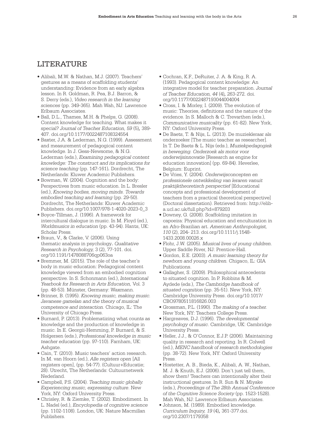# LITERATURE

- Alibali, M.W. & Nathan, M.J. (2007). Teachers' gestures as a means of scaffolding students' understanding: Evidence from an early algebra lesson. In R. Goldman, R. Pea, B.J. Barron, & S. Derry (eds.), *Video research in the learning sciences* (pp. 349-365). Mah Wah, NJ: Lawrence Erlbaum Associates.
- Ball, D.L., Thames, M.H. & Phelps, G. (2008). Content knowledge for teaching. What makes it special? *Journal of Teacher Education, 59* (5)*,* 389- 407. doi.org/10.1177/0022487108324554
- Baxter, J.A. & Lederman, N.G. (1999). Assessment and measurement of pedagogical content knowledge. In J. Gess-Newsome, & N.G. Lederman (eds.), *Examining pedagogical content knowledge: The construct and its implications for science teaching* (pp. 147-161)*.* Dordrecht, The Netherlands: Kluwer Academic Publishers.
- Bowman, W. (2004). Cognition and the body: Perspectives from music education. In L. Bresler (ed.), *Knowing bodies, moving minds. Towards embodied teaching and learning* (pp. 29-50). Dordrecht, The Netherlands: Kluwer Academic Publishers. doi.org/10.1007/978-1-4020-2023-0\_3
- Boyce-Tillman, J. (1996). A framework for intercultural dialogue in music. In M. Floyd (ed.), *Worldmusics in education* (pp. 43-94). Hants, UK: Scholar Press.
- Braun, V., & Clarke, V. (2006). Using thematic analysis in psychology*. Qualitative Research in Psychology,* 3 (2), 77-101. doi. org/10.1191/1478088706qp063oa
- Bremmer, M. (2015). The role of the teacher's body in music education: Pedagogical content knowledge viewed from an embodied cognition perspective. In S. Schonmann (ed.), *International Yearbook for Research in Arts Education,* Vol. 3 (pp. 48-53). Münster, Germany: Waxmann.
- Brinner, B. (1995). *Knowing music, making music. Javanese gamelan and the theory of musical competence and interaction.* Chicago, IL: The University of Chicago Press.
- Burnard, P. (2013). Problematizing what counts as knowledge and the production of knowledge in music. In E. Georgii-Hemming, P. Burnard, & S. Holgersen (eds.), *Professional knowledge in music teacher education* (pp. 97-110). Farnham, UK: Ashgate.
- Cain, T. (2010). Music teachers' action research. In M. van Hoorn (ed.), *Alle registers open* [All registers open], (pp. 54-77). (Cultuur+Educatie; 28). Utrecht, The Netherlands: Cultuurnetwerk Nederland.
- Campbell, P.S. (2004). *Teaching music globally. Experiencing music, expressing culture*. New York, NY: Oxford University Press.
- Chrisley, R. & Ziemke, T. (2002). Embodiment. In L. Nadel (ed.), *Encyclopedia of cognitive science* (pp. 1102-1108). London, UK: Nature Macmillan Publishers.
- Cochran, K.F., DeRuiter, J. A. & King, R. A. (1993). Pedagogical content knowledge: An integrative model for teacher preparation. *Journal of Teacher Education, 44* (4)*,* 263-272. doi. org/10.1177/0022487193044004004
- Cross, I. & Morley, I. (2009). The evolution of music: Theories, definitions and the nature of the evidence. In S. Malloch & C. Trevarthen (eds.), *Communicative musicality* (pp. 61-82). New York, NY: Oxford University Press.
- De Baets, T. & Nijs, L. (2013). De muziekleraar als onderzoeker [The music teacher as researcher]. In T. De Baets & L. Nijs (eds.), *Muziekpedagogiek in beweging. Onderzoek als motor voor onderwijsinnovatie* [Research as engine for education innovation] (pp. 69-84). Heverlee, Belgium: Euprint.
- De Vries, Y. (2004). *Onderwijsconcepten en professionele ontwikkeling van leraren vanuit praktijktheoretisch perspectief* [Educational concepts and professional development of teachers from a practical theoretical perspective] (Doctoral dissertation). Retrieved from: http://eliba.ucl.ac.uk/full.php?id=879203
- Downey, G. (2008). Scaffolding imitation in capoeira: Physical education and enculturation in an Afro-Brazilian art. *American Anthropologist, 110* (2), 204- 213. doi.org/10.1111/j.1548- 1433.2008.00026.x
- Flohr, J.W. (2005). *Musical lives of young children*. Upper Saddle River, NJ: Prentice-Hall.
- Gordon, E.E. (2003). *A music learning theory for newborn and young children.* Chigaco, IL: GIA Publications.
- Gallagher, S. (2009). Philosophical antecedents to situated cognition. In P. Robbins & M. Aydede (eds.), *The Cambridge handbook of situated cognition* (pp. 35-51). New York, NY: Cambridge University Press. doi.org/10.1017/ CBO9780511816826.003
- Grossman, P.L. (1990). *The making of a teacher.* New York, NY: Teachers College Press.
- Hargreaves, D.J. (1996). *The developmental psychology of music*. Cambridge, UK: Cambridge University Press.
- Heller, J.J., & O'Connor, E.J.P. (2006). Maintaining quality in research and reporting. In R. Colwell (ed.), *MENC handbook of research methodologies* (pp. 38-72). New York, NY: Oxford University Press.
- Hostetter, A. B., Bieda, K., Alibali, A. W., Nathan, M. J. & Knuth, E.J. (2006). Don't just tell them, show them! Teachers can intentionally alter their instructional gestures. In R. Sun & N. Miyake (eds.), *Proceedings of The 28th Annual Conference of the Cognitive Science Society* (pp. 1523-1528). Mah Wah, NJ: Lawrence Erlbaum Associates.
- Johnson, M. (1989). Embodied knowledge. *Curriculum Inquiry, 19* (4)*,* 361-377.doi. org/10.2307/1179358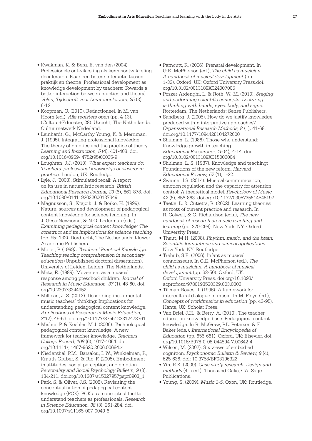- Kwakman, K. & Berg, E. van den (2004). Professionele ontwikkeling als kennisontwikkeling door leraren: Naar een betere interactie tussen praktijk en theorie [Professional development as knowledge development by teachers: Towards a better interaction between practice and theory]. *Velon, Tijdschrift voor Lerarenopleiders, 25* (3), 6-12.
- Koopman, C. (2010). Redactioneel. In M. van Hoorn (ed.), *Alle registers open* (pp. 4-13). (Cultuur+Educatie; 28). Utrecht, The Netherlands: Cultuurnetwerk Nederland.
- Leinhardt, G., McCarthy Young, K. & Merriman, J. (1995). Integrating professional knowledge: The theory of practice and the practice of theory. *Learning and Instruction, 5* (4), 401-408. doi. org/10.1016/0959- 4752(95)00025-9
- Loughran, J.J. (2010). *What expert teachers do: Teachers' professional knowledge of classroom practice*. London, UK: Routledge.
- Lyle, J. (2003). Stimulated recall: A report on its use in naturalistic research. *British Educational Research Journal, 29* (6)*,* 861-878. doi. org/10.1080/0141192032000137349
- Magnusson, S., Krajcik, J. & Borko, H. (1999). Nature, sources and development of pedagogical content knowledge for science teaching. In J. Gess-Newsome, & N.G. Lederman (eds.), *Examining pedagogical content knowledge: The construct and its implications for science teaching*  (pp. 95- 132). Dordrecht, The Netherlands: Kluwer Academic Publishers.
- Meijer, P. (1999*). Teachers' Practical Knowledge. Teaching reading comprehension in secondary education* (Unpublished doctoral dissertation). University of Leiden, Leiden, The Netherlands.
- Metz, E. (1989). Movement as a musical response among preschool children. *Journal of Research in Music Education, 37* (1), 48-60. doi. org/10.2307/3344952
- Millican, J. Si (2013). Describing instrumental music teachers' thinking: Implications for understanding pedagogical content knowledge. *Applications of Research in Music Education, 31*(2), 45-53. doi.org/10.1177/8755123312473761
- Mishra, P. & Koehler, M.J. (2006). Technological pedagogical content knowledge: A new framework for teacher knowledge. *Teachers College Record, 108* (6), 1017-1054. doi. org/10.1111/j.1467-9620.2006.00684.x
- Niedenthal, P.M., Barsalou, L.W., Winkielman, P., Krauth-Gruber, S. & Ric, F. (2005). Embodiment in attitudes, social perception, and emotion. *Personality and Social Psychology Bulletin, 9* (3), 184-211. doi.org/10.1207/s15327957pspr0903\_1
- Park, S. & Oliver, J.S. (2008). Revisiting the conceptualisation of pedagogical content knowledge (PCK): PCK as a conceptual tool to understand teachers as professionals. *Research in Science Education, 38* (3), 261-284. doi. org/10.1007/s11165-007-9049-6
- Parncutt, R. (2006). Prenatal development. In G.E. McPherson (ed.), *The child as musician. A handbook of musical development* (pp. 1-32). Oxford, UK: Oxford University Press.doi. org/10.3102/0013189X024007005
- Pozzer-Ardenghi, L. & Roth, W.-M. (2010). *Staging and performing scientific concepts: Lecturing is thinking with hands, eyes, body, and signs*. Rotterdam, The Netherlands: Sense Publishers.
- Sandberg, J. (2005). How do we justify knowledge produced within interpretive approaches? *Organizational Research Methods, 8* (1)*,* 41-68. doi.org/10.1177/1094428104272000
- Shulman, L. (1986). Those who understand: Knowledge growth in teaching. *Educational Researcher, 15* (4)*,* 4-14. doi. org/10.3102/0013189X015002004
- Shulman, L. S. (1987). Knowledge and teaching: Foundations of the new reform. *Harvard Educational Review, 57* (1), 1-22.
- Swaine, J.S. (2014). Musical communication, emotion regulation and the capacity for attention control: A theoretical model. *Psychology of Music, 42* (6), 856-863. doi.org/10.1177/0305735614545197
- Taetle, L. & Cutietta, R. (2002). Learning theories as roots of current practice and research. In R. Colwell, & C. Richardson (eds.), *The new handbook of research on music teaching and learning* (pp. 279-298). New York, NY: Oxford University Press.
- Thaut, M.H. (2008). *Rhythm, music, and the brain: Scientific foundations and clinical applications.*  New York, NY: Routledge.
- Trehub, S.E. (2006). Infant as musical connoisseurs. In G.E. McPherson (ed.), *The child as musician. A handbook of musical development* (pp. 33-50). Oxford, UK: Oxford University Press. doi.org/10.1093/ acprof:oso/9780198530329.003.0002
- Tillman-Boyce, J. (1996). A framework for intercultural dialogue in music. In M. Floyd (ed.), *Concepts of worldmusics in education* (pp. 43-95). Hants, UK: Scholar Press.
- Van Driel, J.H., & Berry, A. (2010). The teacher education knowledge base: Pedagogical content knowledge. In B. McGraw, P.L. Peterson & E. Baker (eds*.*)*, International Encyclopedia of Education* (pp. 656-661). Oxford, UK: Elsevier. doi. org/10.1016/B978-0-08-044894-7.00642-4
- Wilson, M. (2002). Six views of embodied cognition. *Psychonomic Bulletin & Review, 9* (4), 625-636. doi: 10.3758/BF03196322
- Yin, R.K. (2009). *Case study research. Design and methods* (4th ed.). Thousand Oaks, CA: Sage Publications.
- Young, S. (2009). *Music 3-5*. Oxon, UK: Routledge.